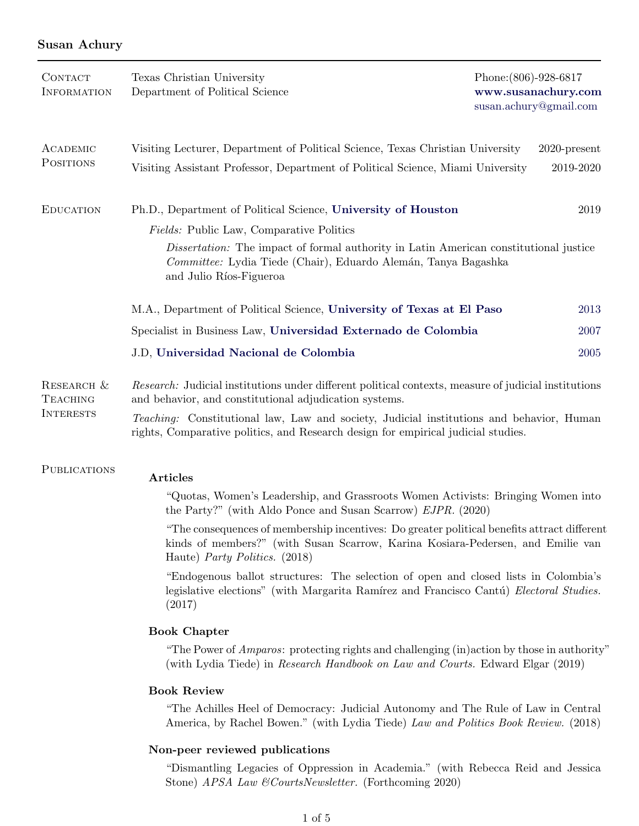## Susan Achury

| <b>CONTACT</b><br><b>INFORMATION</b>              | Texas Christian University<br>Department of Political Science                                                                                                                                             | Phone: (806)-928-6817 | www.susanachury.com<br>susan.achury@gmail.com |
|---------------------------------------------------|-----------------------------------------------------------------------------------------------------------------------------------------------------------------------------------------------------------|-----------------------|-----------------------------------------------|
| ACADEMIC<br><b>POSITIONS</b>                      | Visiting Lecturer, Department of Political Science, Texas Christian University<br>Visiting Assistant Professor, Department of Political Science, Miami University                                         |                       | $2020$ -present<br>2019-2020                  |
| <b>EDUCATION</b>                                  | Ph.D., Department of Political Science, University of Houston<br><i>Fields:</i> Public Law, Comparative Politics<br>Dissertation: The impact of formal authority in Latin American constitutional justice |                       | 2019                                          |
|                                                   | Committee: Lydia Tiede (Chair), Eduardo Alemán, Tanya Bagashka<br>and Julio Ríos-Figueroa                                                                                                                 |                       |                                               |
|                                                   | M.A., Department of Political Science, University of Texas at El Paso                                                                                                                                     |                       | 2013                                          |
|                                                   | Specialist in Business Law, Universidad Externado de Colombia                                                                                                                                             |                       | 2007                                          |
|                                                   | J.D, Universidad Nacional de Colombia                                                                                                                                                                     |                       | 2005                                          |
| RESEARCH &<br><b>TEACHING</b><br><b>INTERESTS</b> | Research: Judicial institutions under different political contexts, measure of judicial institutions<br>and behavior, and constitutional adjudication systems.                                            |                       |                                               |
|                                                   | <i>Teaching:</i> Constitutional law, Law and society, Judicial institutions and behavior, Human<br>rights, Comparative politics, and Research design for empirical judicial studies.                      |                       |                                               |

#### **PUBLICATIONS** Articles

"Quotas, Women's Leadership, and Grassroots Women Activists: Bringing Women into the Party?" (with Aldo Ponce and Susan Scarrow) EJPR. (2020)

"The consequences of membership incentives: Do greater political benefits attract different kinds of members?" (with Susan Scarrow, Karina Kosiara-Pedersen, and Emilie van Haute) Party Politics. (2018)

"Endogenous ballot structures: The selection of open and closed lists in Colombia's legislative elections" (with Margarita Ramírez and Francisco Cantú) Electoral Studies. (2017)

### Book Chapter

"The Power of *Amparos*: protecting rights and challenging (in)action by those in authority" (with Lydia Tiede) in Research Handbook on Law and Courts. Edward Elgar (2019)

#### Book Review

"The Achilles Heel of Democracy: Judicial Autonomy and The Rule of Law in Central America, by Rachel Bowen." (with Lydia Tiede) Law and Politics Book Review. (2018)

#### Non-peer reviewed publications

"Dismantling Legacies of Oppression in Academia." (with Rebecca Reid and Jessica Stone) APSA Law &CourtsNewsletter. (Forthcoming 2020)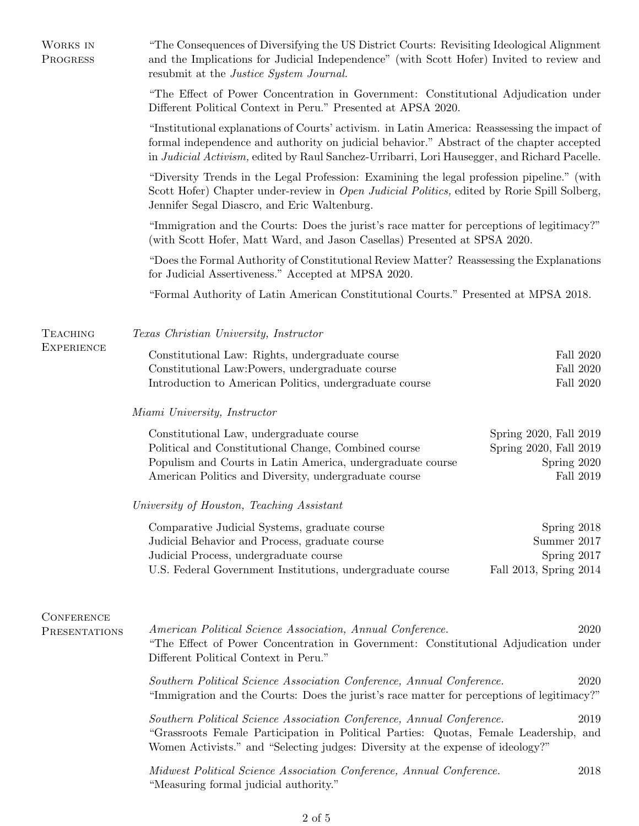| WORKS IN<br>PROGRESS               | "The Consequences of Diversifying the US District Courts: Revisiting Ideological Alignment<br>and the Implications for Judicial Independence" (with Scott Hofer) Invited to review and<br>resubmit at the <i>Justice System Journal</i> .                                                                                                                                                                                                                                                                                                                                                                                                                                                      |                                                                                                                                                                 |                                            |  |                                                                                                                                                                         |  |  |
|------------------------------------|------------------------------------------------------------------------------------------------------------------------------------------------------------------------------------------------------------------------------------------------------------------------------------------------------------------------------------------------------------------------------------------------------------------------------------------------------------------------------------------------------------------------------------------------------------------------------------------------------------------------------------------------------------------------------------------------|-----------------------------------------------------------------------------------------------------------------------------------------------------------------|--------------------------------------------|--|-------------------------------------------------------------------------------------------------------------------------------------------------------------------------|--|--|
|                                    | "The Effect of Power Concentration in Government: Constitutional Adjudication under<br>Different Political Context in Peru." Presented at APSA 2020.<br>"Institutional explanations of Courts' activism. in Latin America: Reassessing the impact of<br>formal independence and authority on judicial behavior." Abstract of the chapter accepted<br>in Judicial Activism, edited by Raul Sanchez-Urribarri, Lori Hausegger, and Richard Pacelle.<br>"Diversity Trends in the Legal Profession: Examining the legal profession pipeline." (with<br>Scott Hofer) Chapter under-review in Open Judicial Politics, edited by Rorie Spill Solberg,<br>Jennifer Segal Diascro, and Eric Waltenburg. |                                                                                                                                                                 |                                            |  |                                                                                                                                                                         |  |  |
|                                    |                                                                                                                                                                                                                                                                                                                                                                                                                                                                                                                                                                                                                                                                                                |                                                                                                                                                                 |                                            |  | "Immigration and the Courts: Does the jurist's race matter for perceptions of legitimacy?"<br>(with Scott Hofer, Matt Ward, and Jason Casellas) Presented at SPSA 2020. |  |  |
|                                    |                                                                                                                                                                                                                                                                                                                                                                                                                                                                                                                                                                                                                                                                                                |                                                                                                                                                                 |                                            |  | "Does the Formal Authority of Constitutional Review Matter? Reassessing the Explanations<br>for Judicial Assertiveness." Accepted at MPSA 2020.                         |  |  |
|                                    | "Formal Authority of Latin American Constitutional Courts." Presented at MPSA 2018.                                                                                                                                                                                                                                                                                                                                                                                                                                                                                                                                                                                                            |                                                                                                                                                                 |                                            |  |                                                                                                                                                                         |  |  |
|                                    | <b>TEACHING</b><br><b>EXPERIENCE</b>                                                                                                                                                                                                                                                                                                                                                                                                                                                                                                                                                                                                                                                           | Texas Christian University, Instructor                                                                                                                          |                                            |  |                                                                                                                                                                         |  |  |
|                                    |                                                                                                                                                                                                                                                                                                                                                                                                                                                                                                                                                                                                                                                                                                | Constitutional Law: Rights, undergraduate course<br>Constitutional Law: Powers, undergraduate course<br>Introduction to American Politics, undergraduate course | <b>Fall 2020</b><br>Fall 2020<br>Fall 2020 |  |                                                                                                                                                                         |  |  |
|                                    | Miami University, Instructor                                                                                                                                                                                                                                                                                                                                                                                                                                                                                                                                                                                                                                                                   |                                                                                                                                                                 |                                            |  |                                                                                                                                                                         |  |  |
|                                    | Constitutional Law, undergraduate course<br>Political and Constitutional Change, Combined course<br>Populism and Courts in Latin America, undergraduate course<br>American Politics and Diversity, undergraduate course                                                                                                                                                                                                                                                                                                                                                                                                                                                                        | Spring 2020, Fall 2019<br>Spring 2020, Fall 2019<br>Spring 2020<br>Fall 2019                                                                                    |                                            |  |                                                                                                                                                                         |  |  |
|                                    | University of Houston, Teaching Assistant                                                                                                                                                                                                                                                                                                                                                                                                                                                                                                                                                                                                                                                      |                                                                                                                                                                 |                                            |  |                                                                                                                                                                         |  |  |
|                                    | Comparative Judicial Systems, graduate course<br>Judicial Behavior and Process, graduate course<br>Judicial Process, undergraduate course<br>U.S. Federal Government Institutions, undergraduate course                                                                                                                                                                                                                                                                                                                                                                                                                                                                                        | Spring 2018<br>Summer 2017<br>Spring 2017<br>Fall 2013, Spring 2014                                                                                             |                                            |  |                                                                                                                                                                         |  |  |
| <b>CONFERENCE</b><br>PRESENTATIONS | American Political Science Association, Annual Conference.<br>"The Effect of Power Concentration in Government: Constitutional Adjudication under<br>Different Political Context in Peru."                                                                                                                                                                                                                                                                                                                                                                                                                                                                                                     | 2020                                                                                                                                                            |                                            |  |                                                                                                                                                                         |  |  |
|                                    | Southern Political Science Association Conference, Annual Conference.<br>2020<br>"Immigration and the Courts: Does the jurist's race matter for perceptions of legitimacy?"                                                                                                                                                                                                                                                                                                                                                                                                                                                                                                                    |                                                                                                                                                                 |                                            |  |                                                                                                                                                                         |  |  |
|                                    | Southern Political Science Association Conference, Annual Conference.<br>2019<br>"Grassroots Female Participation in Political Parties: Quotas, Female Leadership, and<br>Women Activists." and "Selecting judges: Diversity at the expense of ideology?"                                                                                                                                                                                                                                                                                                                                                                                                                                      |                                                                                                                                                                 |                                            |  |                                                                                                                                                                         |  |  |
|                                    | Midwest Political Science Association Conference, Annual Conference.<br>"Measuring formal judicial authority."                                                                                                                                                                                                                                                                                                                                                                                                                                                                                                                                                                                 | 2018                                                                                                                                                            |                                            |  |                                                                                                                                                                         |  |  |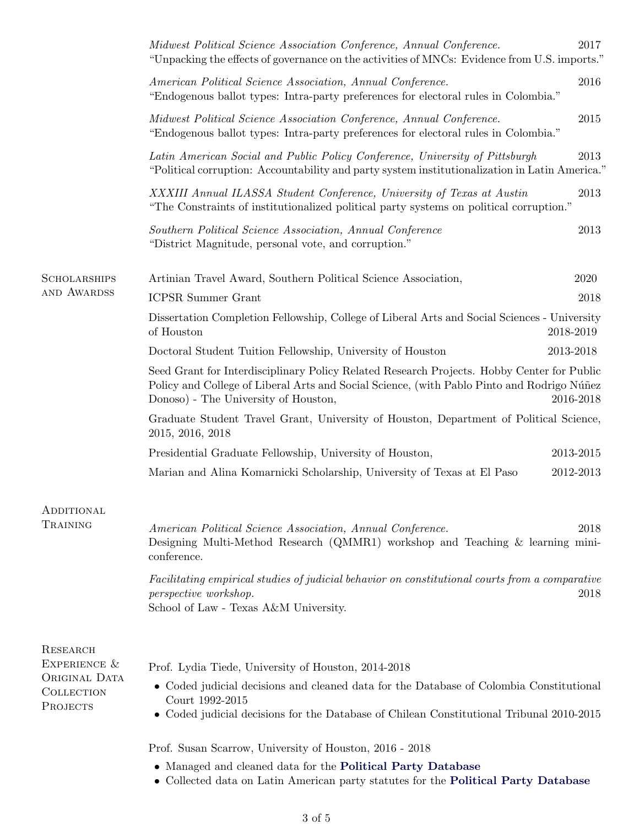|                                 | Midwest Political Science Association Conference, Annual Conference.<br>2017<br>"Unpacking the effects of governance on the activities of MNCs: Evidence from U.S. imports."                                                                  |           |  |
|---------------------------------|-----------------------------------------------------------------------------------------------------------------------------------------------------------------------------------------------------------------------------------------------|-----------|--|
|                                 | 2016<br>American Political Science Association, Annual Conference.<br>"Endogenous ballot types: Intra-party preferences for electoral rules in Colombia."                                                                                     |           |  |
|                                 | Midwest Political Science Association Conference, Annual Conference.<br>"Endogenous ballot types: Intra-party preferences for electoral rules in Colombia."                                                                                   | 2015      |  |
|                                 | Latin American Social and Public Policy Conference, University of Pittsburgh<br>"Political corruption: Accountability and party system institutionalization in Latin America."                                                                | 2013      |  |
|                                 | XXXIII Annual ILASSA Student Conference, University of Texas at Austin<br>"The Constraints of institutionalized political party systems on political corruption."                                                                             | 2013      |  |
|                                 | Southern Political Science Association, Annual Conference<br>"District Magnitude, personal vote, and corruption."                                                                                                                             | 2013      |  |
| <b>SCHOLARSHIPS</b>             | Artinian Travel Award, Southern Political Science Association,                                                                                                                                                                                | 2020      |  |
| AND AWARDSS                     | <b>ICPSR</b> Summer Grant                                                                                                                                                                                                                     | 2018      |  |
|                                 | Dissertation Completion Fellowship, College of Liberal Arts and Social Sciences - University<br>of Houston                                                                                                                                    | 2018-2019 |  |
|                                 | Doctoral Student Tuition Fellowship, University of Houston                                                                                                                                                                                    | 2013-2018 |  |
|                                 | Seed Grant for Interdisciplinary Policy Related Research Projects. Hobby Center for Public<br>Policy and College of Liberal Arts and Social Science, (with Pablo Pinto and Rodrigo Núñez<br>Donoso) - The University of Houston,<br>2016-2018 |           |  |
|                                 | Graduate Student Travel Grant, University of Houston, Department of Political Science,<br>2015, 2016, 2018                                                                                                                                    |           |  |
|                                 | Presidential Graduate Fellowship, University of Houston,                                                                                                                                                                                      | 2013-2015 |  |
|                                 | Marian and Alina Komarnicki Scholarship, University of Texas at El Paso                                                                                                                                                                       | 2012-2013 |  |
| ADDITIONAL                      |                                                                                                                                                                                                                                               |           |  |
| TRAINING                        | American Political Science Association, Annual Conference.<br>2018<br>Designing Multi-Method Research (QMMR1) workshop and Teaching & learning mini-<br>conference.                                                                           |           |  |
|                                 | Facilitating empirical studies of judicial behavior on constitutional courts from a comparative<br><i>perspective workshop.</i><br>School of Law - Texas A&M University.                                                                      | 2018      |  |
| <b>RESEARCH</b>                 |                                                                                                                                                                                                                                               |           |  |
| EXPERIENCE $&$<br>ORIGINAL DATA | Prof. Lydia Tiede, University of Houston, 2014-2018                                                                                                                                                                                           |           |  |
| <b>COLLECTION</b><br>PROJECTS   | • Coded judicial decisions and cleaned data for the Database of Colombia Constitutional<br>Court 1992-2015                                                                                                                                    |           |  |
|                                 | Coded judicial decisions for the Database of Chilean Constitutional Tribunal 2010-2015                                                                                                                                                        |           |  |
|                                 | Prof. Susan Scarrow, University of Houston, 2016 - 2018                                                                                                                                                                                       |           |  |
|                                 | • Managed and cleaned data for the <b>Political Party Database</b>                                                                                                                                                                            |           |  |
|                                 | • Collected data on Latin American party statutes for the Political Party Database                                                                                                                                                            |           |  |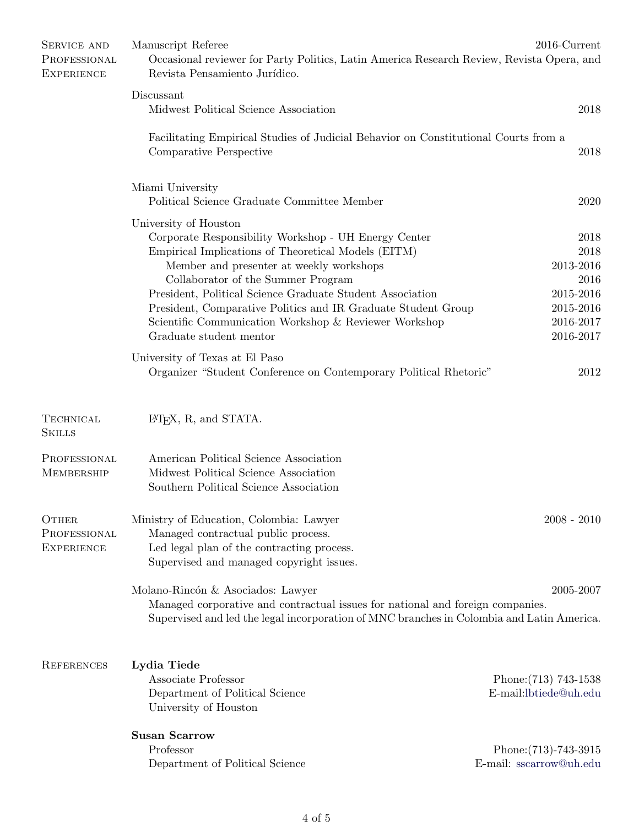| <b>SERVICE AND</b><br>PROFESSIONAL<br><b>EXPERIENCE</b> | Manuscript Referee<br>2016-Current<br>Occasional reviewer for Party Politics, Latin America Research Review, Revista Opera, and<br>Revista Pensamiento Jurídico.            |                          |  |  |
|---------------------------------------------------------|-----------------------------------------------------------------------------------------------------------------------------------------------------------------------------|--------------------------|--|--|
|                                                         | Discussant<br>Midwest Political Science Association                                                                                                                         | 2018                     |  |  |
|                                                         | Facilitating Empirical Studies of Judicial Behavior on Constitutional Courts from a<br>Comparative Perspective<br>2018                                                      |                          |  |  |
|                                                         |                                                                                                                                                                             |                          |  |  |
|                                                         | Miami University<br>Political Science Graduate Committee Member                                                                                                             | 2020                     |  |  |
|                                                         | University of Houston                                                                                                                                                       |                          |  |  |
|                                                         | Corporate Responsibility Workshop - UH Energy Center                                                                                                                        | 2018                     |  |  |
|                                                         | Empirical Implications of Theoretical Models (EITM)                                                                                                                         | 2018                     |  |  |
|                                                         | Member and presenter at weekly workshops<br>Collaborator of the Summer Program                                                                                              | 2013-2016<br>2016        |  |  |
|                                                         | President, Political Science Graduate Student Association                                                                                                                   | 2015-2016                |  |  |
|                                                         | President, Comparative Politics and IR Graduate Student Group                                                                                                               | 2015-2016                |  |  |
|                                                         | Scientific Communication Workshop & Reviewer Workshop                                                                                                                       | 2016-2017                |  |  |
|                                                         | Graduate student mentor                                                                                                                                                     | 2016-2017                |  |  |
|                                                         | University of Texas at El Paso<br>Organizer "Student Conference on Contemporary Political Rhetoric"                                                                         | 2012                     |  |  |
| <b>TECHNICAL</b><br><b>SKILLS</b>                       | LAT <sub>F</sub> X, R, and STATA.                                                                                                                                           |                          |  |  |
| PROFESSIONAL                                            | American Political Science Association                                                                                                                                      |                          |  |  |
| MEMBERSHIP                                              | Midwest Political Science Association                                                                                                                                       |                          |  |  |
|                                                         | Southern Political Science Association                                                                                                                                      |                          |  |  |
| OTHER                                                   | Ministry of Education, Colombia: Lawyer                                                                                                                                     | $2008 - 2010$            |  |  |
| PROFESSIONAL                                            | Managed contractual public process.                                                                                                                                         |                          |  |  |
| <b>EXPERIENCE</b>                                       | Led legal plan of the contracting process.<br>Supervised and managed copyright issues.                                                                                      |                          |  |  |
|                                                         | Molano-Rincón & Asociados: Lawyer                                                                                                                                           | 2005-2007                |  |  |
|                                                         | Managed corporative and contractual issues for national and foreign companies.<br>Supervised and led the legal incorporation of MNC branches in Colombia and Latin America. |                          |  |  |
| <b>REFERENCES</b>                                       | Lydia Tiede                                                                                                                                                                 |                          |  |  |
|                                                         | Associate Professor                                                                                                                                                         | Phone: $(713)$ 743-1538  |  |  |
|                                                         | Department of Political Science<br>University of Houston                                                                                                                    | E-mail:lbtiede@uh.edu    |  |  |
|                                                         | <b>Susan Scarrow</b>                                                                                                                                                        |                          |  |  |
|                                                         | Professor                                                                                                                                                                   | Phone: $(713)$ -743-3915 |  |  |
|                                                         | Department of Political Science                                                                                                                                             | E-mail: sscarrow@uh.edu  |  |  |